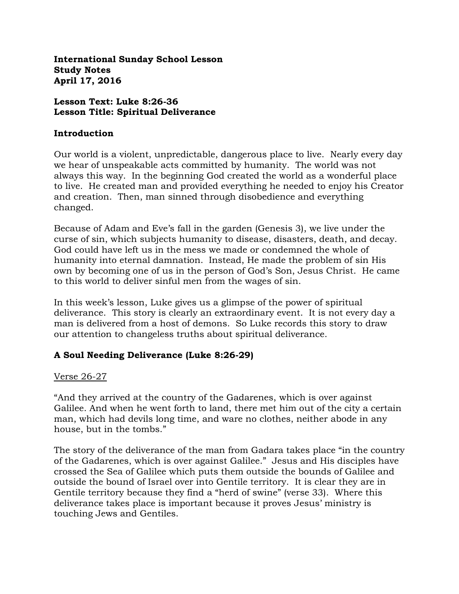**International Sunday School Lesson Study Notes April 17, 2016**

## **Lesson Text: Luke 8:26-36 Lesson Title: Spiritual Deliverance**

#### **Introduction**

Our world is a violent, unpredictable, dangerous place to live. Nearly every day we hear of unspeakable acts committed by humanity. The world was not always this way. In the beginning God created the world as a wonderful place to live. He created man and provided everything he needed to enjoy his Creator and creation. Then, man sinned through disobedience and everything changed.

Because of Adam and Eve's fall in the garden (Genesis 3), we live under the curse of sin, which subjects humanity to disease, disasters, death, and decay. God could have left us in the mess we made or condemned the whole of humanity into eternal damnation. Instead, He made the problem of sin His own by becoming one of us in the person of God's Son, Jesus Christ. He came to this world to deliver sinful men from the wages of sin.

In this week's lesson, Luke gives us a glimpse of the power of spiritual deliverance. This story is clearly an extraordinary event. It is not every day a man is delivered from a host of demons. So Luke records this story to draw our attention to changeless truths about spiritual deliverance.

## **A Soul Needing Deliverance (Luke 8:26-29)**

## Verse 26-27

"And they arrived at the country of the Gadarenes, which is over against Galilee. And when he went forth to land, there met him out of the city a certain man, which had devils long time, and ware no clothes, neither abode in any house, but in the tombs."

The story of the deliverance of the man from Gadara takes place "in the country of the Gadarenes, which is over against Galilee." Jesus and His disciples have crossed the Sea of Galilee which puts them outside the bounds of Galilee and outside the bound of Israel over into Gentile territory. It is clear they are in Gentile territory because they find a "herd of swine" (verse 33). Where this deliverance takes place is important because it proves Jesus' ministry is touching Jews and Gentiles.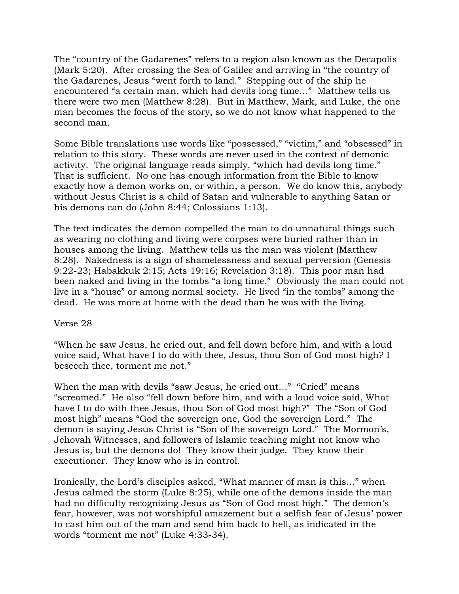The "country of the Gadarenes" refers to a region also known as the Decapolis (Mark 5:20). After crossing the Sea of Galilee and arriving in "the country of the Gadarenes, Jesus "went forth to land." Stepping out of the ship he encountered "a certain man, which had devils long time…" Matthew tells us there were two men (Matthew 8:28). But in Matthew, Mark, and Luke, the one man becomes the focus of the story, so we do not know what happened to the second man.

Some Bible translations use words like "possessed," "victim," and "obsessed" in relation to this story. These words are never used in the context of demonic activity. The original language reads simply, "which had devils long time." That is sufficient. No one has enough information from the Bible to know exactly how a demon works on, or within, a person. We do know this, anybody without Jesus Christ is a child of Satan and vulnerable to anything Satan or his demons can do (John 8:44; Colossians 1:13).

The text indicates the demon compelled the man to do unnatural things such as wearing no clothing and living were corpses were buried rather than in houses among the living. Matthew tells us the man was violent (Matthew 8:28). Nakedness is a sign of shamelessness and sexual perversion (Genesis 9:22-23; Habakkuk 2:15; Acts 19:16; Revelation 3:18). This poor man had been naked and living in the tombs "a long time." Obviously the man could not live in a "house" or among normal society. He lived "in the tombs" among the dead. He was more at home with the dead than he was with the living.

## Verse 28

"When he saw Jesus, he cried out, and fell down before him, and with a loud voice said, What have I to do with thee, Jesus, thou Son of God most high? I beseech thee, torment me not."

When the man with devils "saw Jesus, he cried out..." "Cried" means "screamed." He also "fell down before him, and with a loud voice said, What have I to do with thee Jesus, thou Son of God most high?" The "Son of God most high" means "God the sovereign one, God the sovereign Lord." The demon is saying Jesus Christ is "Son of the sovereign Lord." The Mormon's, Jehovah Witnesses, and followers of Islamic teaching might not know who Jesus is, but the demons do! They know their judge. They know their executioner. They know who is in control.

Ironically, the Lord's disciples asked, "What manner of man is this…" when Jesus calmed the storm (Luke 8:25), while one of the demons inside the man had no difficulty recognizing Jesus as "Son of God most high." The demon's fear, however, was not worshipful amazement but a selfish fear of Jesus' power to cast him out of the man and send him back to hell, as indicated in the words "torment me not" (Luke 4:33-34).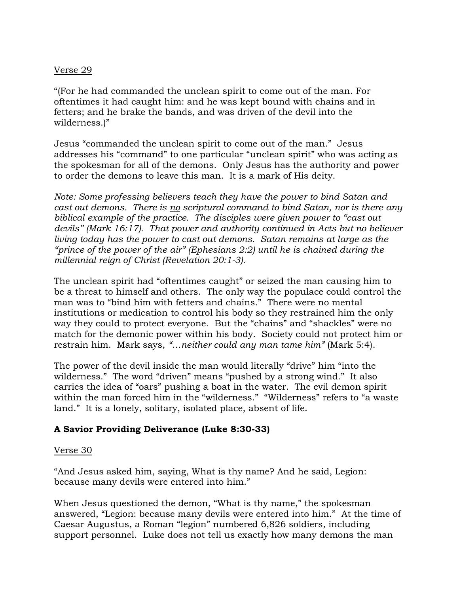## Verse 29

"(For he had commanded the unclean spirit to come out of the man. For oftentimes it had caught him: and he was kept bound with chains and in fetters; and he brake the bands, and was driven of the devil into the wilderness.)"

Jesus "commanded the unclean spirit to come out of the man." Jesus addresses his "command" to one particular "unclean spirit" who was acting as the spokesman for all of the demons. Only Jesus has the authority and power to order the demons to leave this man. It is a mark of His deity.

*Note: Some professing believers teach they have the power to bind Satan and cast out demons. There is no scriptural command to bind Satan, nor is there any biblical example of the practice. The disciples were given power to "cast out devils" (Mark 16:17). That power and authority continued in Acts but no believer living today has the power to cast out demons. Satan remains at large as the "prince of the power of the air" (Ephesians 2:2) until he is chained during the millennial reign of Christ (Revelation 20:1-3).* 

The unclean spirit had "oftentimes caught" or seized the man causing him to be a threat to himself and others. The only way the populace could control the man was to "bind him with fetters and chains." There were no mental institutions or medication to control his body so they restrained him the only way they could to protect everyone. But the "chains" and "shackles" were no match for the demonic power within his body. Society could not protect him or restrain him. Mark says, *"…neither could any man tame him"* (Mark 5:4).

The power of the devil inside the man would literally "drive" him "into the wilderness." The word "driven" means "pushed by a strong wind." It also carries the idea of "oars" pushing a boat in the water. The evil demon spirit within the man forced him in the "wilderness." "Wilderness" refers to "a waste land." It is a lonely, solitary, isolated place, absent of life.

## **A Savior Providing Deliverance (Luke 8:30-33)**

## Verse 30

"And Jesus asked him, saying, What is thy name? And he said, Legion: because many devils were entered into him."

When Jesus questioned the demon, "What is thy name," the spokesman answered, "Legion: because many devils were entered into him." At the time of Caesar Augustus, a Roman "legion" numbered 6,826 soldiers, including support personnel. Luke does not tell us exactly how many demons the man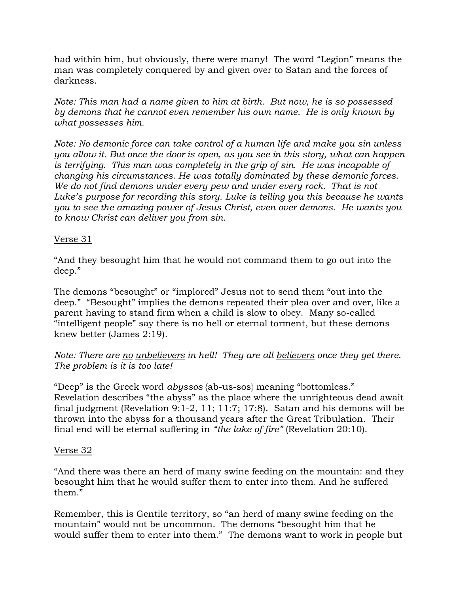had within him, but obviously, there were many! The word "Legion" means the man was completely conquered by and given over to Satan and the forces of darkness.

*Note: This man had a name given to him at birth. But now, he is so possessed by demons that he cannot even remember his own name. He is only known by what possesses him.* 

*Note: No demonic force can take control of a human life and make you sin unless you allow it. But once the door is open, as you see in this story, what can happen is terrifying. This man was completely in the grip of sin. He was incapable of changing his circumstances. He was totally dominated by these demonic forces. We do not find demons under every pew and under every rock. That is not Luke's purpose for recording this story. Luke is telling you this because he wants you to see the amazing power of Jesus Christ, even over demons. He wants you to know Christ can deliver you from sin.*

## Verse 31

"And they besought him that he would not command them to go out into the deep."

The demons "besought" or "implored" Jesus not to send them "out into the deep." "Besought" implies the demons repeated their plea over and over, like a parent having to stand firm when a child is slow to obey. Many so-called "intelligent people" say there is no hell or eternal torment, but these demons knew better (James 2:19).

*Note: There are no unbelievers in hell! They are all believers once they get there. The problem is it is too late!*

"Deep" is the Greek word *abyssos* {ab-us-sos} meaning "bottomless." Revelation describes "the abyss" as the place where the unrighteous dead await final judgment (Revelation 9:1-2, 11; 11:7; 17:8). Satan and his demons will be thrown into the abyss for a thousand years after the Great Tribulation. Their final end will be eternal suffering in *"the lake of fire"* (Revelation 20:10).

## Verse 32

"And there was there an herd of many swine feeding on the mountain: and they besought him that he would suffer them to enter into them. And he suffered them."

Remember, this is Gentile territory, so "an herd of many swine feeding on the mountain" would not be uncommon. The demons "besought him that he would suffer them to enter into them." The demons want to work in people but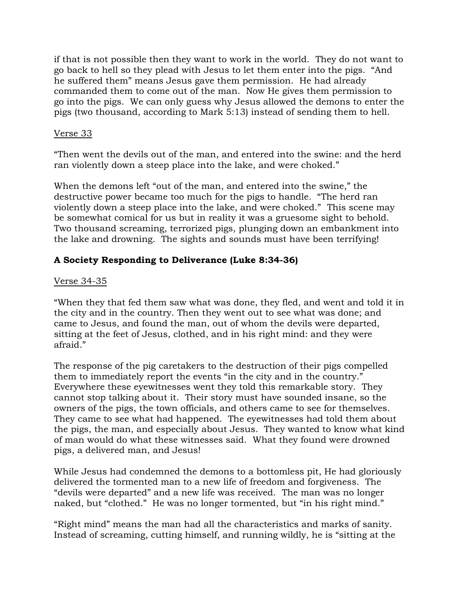if that is not possible then they want to work in the world. They do not want to go back to hell so they plead with Jesus to let them enter into the pigs. "And he suffered them" means Jesus gave them permission. He had already commanded them to come out of the man. Now He gives them permission to go into the pigs. We can only guess why Jesus allowed the demons to enter the pigs (two thousand, according to Mark 5:13) instead of sending them to hell.

# Verse 33

"Then went the devils out of the man, and entered into the swine: and the herd ran violently down a steep place into the lake, and were choked."

When the demons left "out of the man, and entered into the swine," the destructive power became too much for the pigs to handle. "The herd ran violently down a steep place into the lake, and were choked." This scene may be somewhat comical for us but in reality it was a gruesome sight to behold. Two thousand screaming, terrorized pigs, plunging down an embankment into the lake and drowning. The sights and sounds must have been terrifying!

# **A Society Responding to Deliverance (Luke 8:34-36)**

# Verse 34-35

"When they that fed them saw what was done, they fled, and went and told it in the city and in the country. Then they went out to see what was done; and came to Jesus, and found the man, out of whom the devils were departed, sitting at the feet of Jesus, clothed, and in his right mind: and they were afraid."

The response of the pig caretakers to the destruction of their pigs compelled them to immediately report the events "in the city and in the country." Everywhere these eyewitnesses went they told this remarkable story. They cannot stop talking about it. Their story must have sounded insane, so the owners of the pigs, the town officials, and others came to see for themselves. They came to see what had happened. The eyewitnesses had told them about the pigs, the man, and especially about Jesus. They wanted to know what kind of man would do what these witnesses said. What they found were drowned pigs, a delivered man, and Jesus!

While Jesus had condemned the demons to a bottomless pit, He had gloriously delivered the tormented man to a new life of freedom and forgiveness. The "devils were departed" and a new life was received. The man was no longer naked, but "clothed." He was no longer tormented, but "in his right mind."

"Right mind" means the man had all the characteristics and marks of sanity. Instead of screaming, cutting himself, and running wildly, he is "sitting at the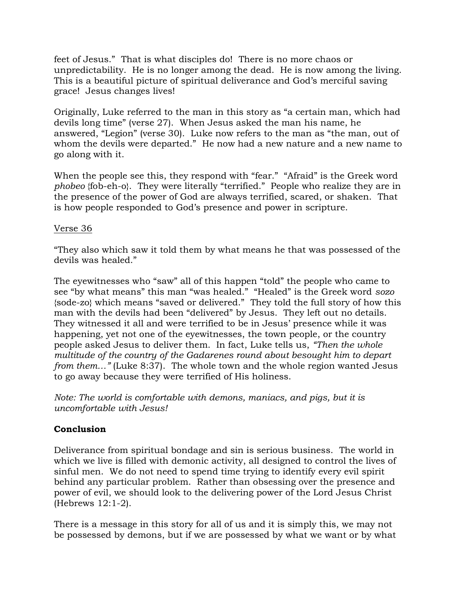feet of Jesus." That is what disciples do! There is no more chaos or unpredictability. He is no longer among the dead. He is now among the living. This is a beautiful picture of spiritual deliverance and God's merciful saving grace! Jesus changes lives!

Originally, Luke referred to the man in this story as "a certain man, which had devils long time" (verse 27). When Jesus asked the man his name, he answered, "Legion" (verse 30). Luke now refers to the man as "the man, out of whom the devils were departed." He now had a new nature and a new name to go along with it.

When the people see this, they respond with "fear." "Afraid" is the Greek word *phobeo* {fob-eh-o}. They were literally "terrified." People who realize they are in the presence of the power of God are always terrified, scared, or shaken. That is how people responded to God's presence and power in scripture.

## Verse 36

"They also which saw it told them by what means he that was possessed of the devils was healed."

The eyewitnesses who "saw" all of this happen "told" the people who came to see "by what means" this man "was healed." "Healed" is the Greek word *sozo*  {sode-zo} which means "saved or delivered." They told the full story of how this man with the devils had been "delivered" by Jesus. They left out no details. They witnessed it all and were terrified to be in Jesus' presence while it was happening, yet not one of the eyewitnesses, the town people, or the country people asked Jesus to deliver them. In fact, Luke tells us, *"Then the whole multitude of the country of the Gadarenes round about besought him to depart from them...*" (Luke 8:37). The whole town and the whole region wanted Jesus to go away because they were terrified of His holiness.

*Note: The world is comfortable with demons, maniacs, and pigs, but it is uncomfortable with Jesus!*

## **Conclusion**

Deliverance from spiritual bondage and sin is serious business. The world in which we live is filled with demonic activity, all designed to control the lives of sinful men. We do not need to spend time trying to identify every evil spirit behind any particular problem. Rather than obsessing over the presence and power of evil, we should look to the delivering power of the Lord Jesus Christ (Hebrews 12:1-2).

There is a message in this story for all of us and it is simply this, we may not be possessed by demons, but if we are possessed by what we want or by what